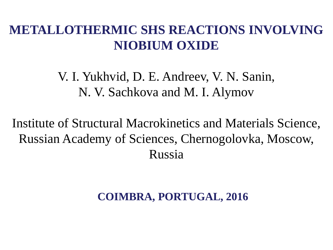### **METALLOTHERMIC SHS REACTIONS INVOLVING NIOBIUM OXIDE**

## V. I. Yukhvid, D. E. Andreev, V. N. Sanin, N. V. Sachkova and M. I. Alymov

Institute of Structural Macrokinetics and Materials Science, Russian Academy of Sciences, Chernogolovka, Moscow, Russia

#### **COIMBRA, PORTUGAL, 2016**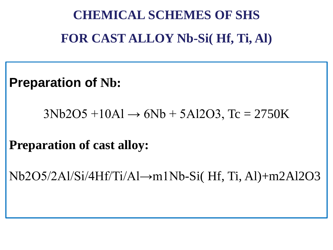# **CHEMICAL SCHEMES OF SHS FOR CAST ALLOY Nb-Si( Hf, Ti, Al)**

**Preparation of Nb:**

 $3Nb2O5 +10Al \rightarrow 6Nb + 5Al2O3$ , Tc = 2750K

**Preparation of cast alloy:**

Nb2O5/2Al/Si/4Hf/Ti/Al→m1Nb-Si( Hf, Ti, Al)+m2Al2O3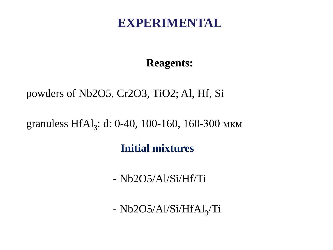#### **EXPERIMENTAL**

#### **Reagents:**

#### powders of Nb2O5, Cr2O3, TiO2; Al, Hf, Si

#### granuless  $HfAl<sub>3</sub>$ : d: 0-40, 100-160, 160-300 мкм

#### **Initial mixtures**

- Nb2O5/Al/Si/Hf/Ti

 $- Nb2O5/A1/Si/HfAl<sub>3</sub>/Ti$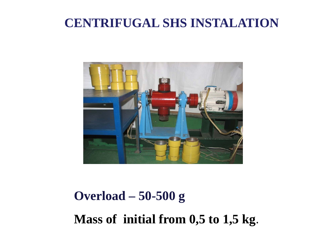#### **CENTRIFUGAL SHS INSTALATION**



# **Overload – 50-500 g Mass of initial from 0,5 to 1,5 kg**.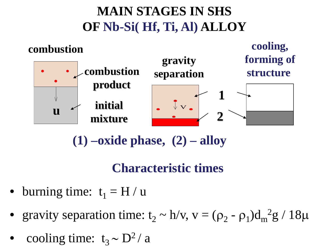# **MAIN STAGES IN SHS OF Nb-Si( Hf, Ti, Al) ALLOY**



**(1) –oxide phase, (2) – alloy**

#### **Characteristic times**

- burning time:  $t_1 = H / u$
- gravity separation time:  $t_2 \sim h/v$ ,  $v = (\rho_2 \rho_1)d_m^2g / 18\mu$
- cooling time:  $t_3 \sim D^2/a$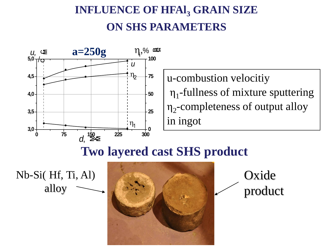## **INFLUENCE OF HFAL, GRAIN SIZE ON SHS PARAMETERS**



u-combustion velocitiy  $\eta_1$ -fullness of mixture sputtering  $\eta_2$ -completeness of output alloy in ingot

### **Two layered cast SHS product**

Nb-Si( Hf, Ti, Al) alloy



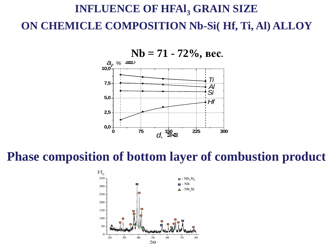## **INFLUENCE OF HFAI, GRAIN SIZE ON CHEMICLE COMPOSITION Nb-Si( Hf, Ti, Al) ALLOY**



**10,0**



#### **Phase composition of bottom layer of combustion product**

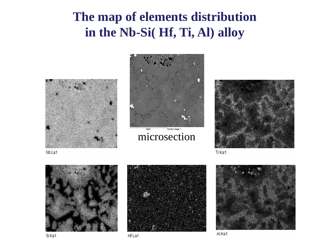## **The map of elements distribution in the Nb-Si( Hf, Ti, Al) alloy**





microsection



Ti Ka1







Al Ka1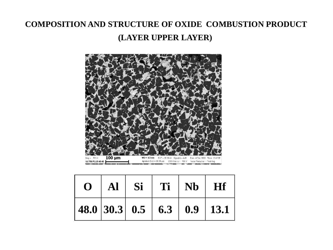#### **COMPOSITION AND STRUCTURE OF OXIDE COMBUSTION PRODUCT (LAYER UPPER LAYER)**



| $\mathbf{O}$ |  | $ $ Al $ $ Si $ $ Ti $ $ Nb $ $ Hf |                            |
|--------------|--|------------------------------------|----------------------------|
|              |  |                                    | 48.0 30.3 0.5 6.3 0.9 13.1 |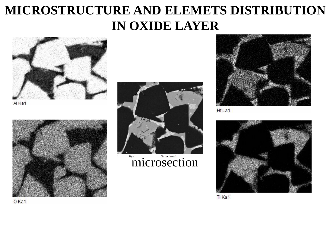## **MICROSTRUCTURE AND ELEMETS DISTRIBUTION IN OXIDE LAYER**



Al Ka1





**microsection** 



Hf La1



Ti Ka1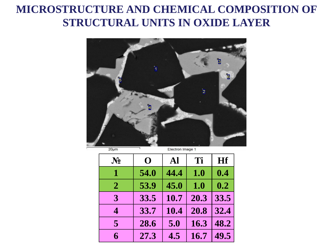#### **MICROSTRUCTURE AND CHEMICAL COMPOSITION OF STRUCTURAL UNITS IN OXIDE LAYER**



 $20 \mu m$ 

Electron Image 1

| $\mathbf{N_2}$ | O    | Al   | Ti   | <b>Hf</b> |
|----------------|------|------|------|-----------|
| 1              | 54.0 | 44.4 | 1.0  | 0.4       |
| $\mathbf{2}$   | 53.9 | 45.0 | 1.0  | 0.2       |
| 3              | 33.5 | 10.7 | 20.3 | 33.5      |
| 4              | 33.7 | 10.4 | 20.8 | 32.4      |
| $\overline{5}$ | 28.6 | 5.0  | 16.3 | 48.2      |
| 6              | 27.3 | 4.5  | 16.7 | 49.5      |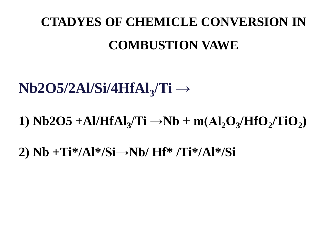# **CTADYES OF CHEMICLE CONVERSION IN COMBUSTION VAWE**

# **Nb2O5/2Al/Si/4HfAl3/Ti →**

1)  $Nb2O5 + Al/HfAl<sub>3</sub>/Ti \rightarrow Nb + m(Al<sub>2</sub>O<sub>3</sub>/HfO<sub>2</sub>/TiO<sub>2</sub>)$ 

**2) Nb +Ti\*/Al\*/Si→Nb/ Hf\* /Ti\*/Al\*/Si**